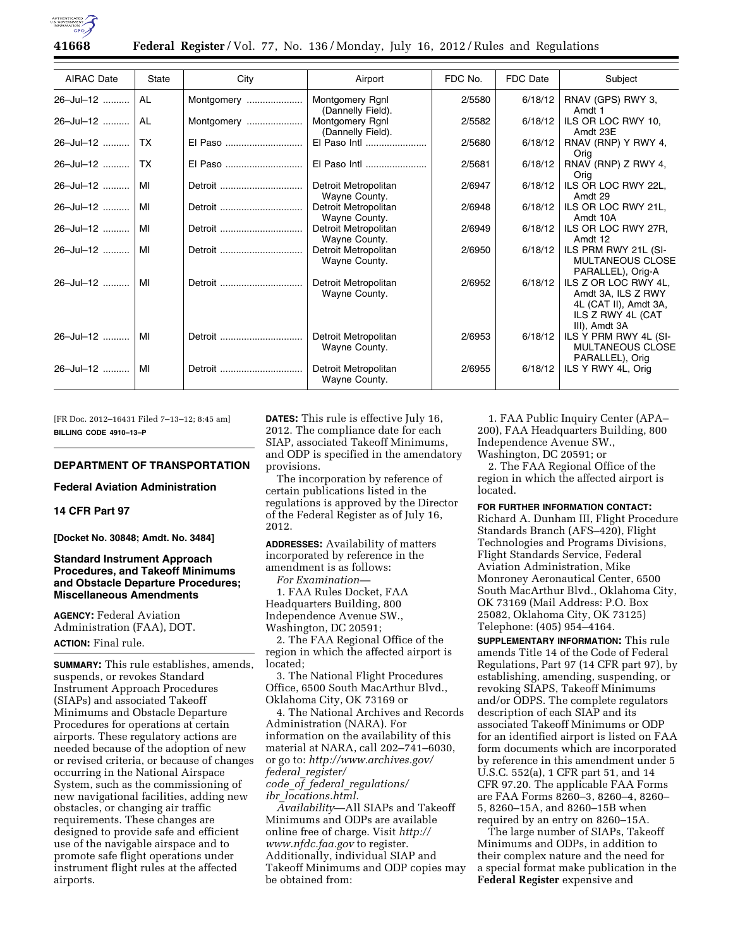

**41668 Federal Register** / Vol. 77, No. 136 / Monday, July 16, 2012 / Rules and Regulations

| <b>AIRAC Date</b> | State | City       | Airport                               | FDC No. | FDC Date | Subject                                                                                                   |
|-------------------|-------|------------|---------------------------------------|---------|----------|-----------------------------------------------------------------------------------------------------------|
| 26-Jul-12         | AL    | Montgomery | Montgomery Rgnl<br>(Dannelly Field).  | 2/5580  | 6/18/12  | RNAV (GPS) RWY 3,<br>Amdt 1                                                                               |
| 26-Jul-12         | AL    | Montgomery | Montgomery Rgnl<br>(Dannelly Field).  | 2/5582  | 6/18/12  | ILS OR LOC RWY 10,<br>Amdt 23E                                                                            |
| 26-Jul-12         | TX.   | El Paso    | El Paso Intl                          | 2/5680  | 6/18/12  | RNAV (RNP) Y RWY 4,<br>Orig                                                                               |
| 26-Jul-12         | TX.   | El Paso    | El Paso Intl                          | 2/5681  | 6/18/12  | RNAV (RNP) Z RWY 4,<br>Orig                                                                               |
| 26-Jul-12         | МI    | Detroit    | Detroit Metropolitan<br>Wayne County. | 2/6947  | 6/18/12  | ILS OR LOC RWY 22L,<br>Amdt 29                                                                            |
| 26-Jul-12         | MI    |            | Detroit Metropolitan<br>Wayne County. | 2/6948  | 6/18/12  | ILS OR LOC RWY 21L.<br>Amdt 10A                                                                           |
| 26-Jul-12         | MI    | Detroit    | Detroit Metropolitan<br>Wayne County. | 2/6949  | 6/18/12  | ILS OR LOC RWY 27R.<br>Amdt 12                                                                            |
| $26 -$ Jul-12     | MI    |            | Detroit Metropolitan<br>Wayne County. | 2/6950  | 6/18/12  | ILS PRM RWY 21L (SI-<br><b>MULTANEOUS CLOSE</b><br>PARALLEL), Orig-A                                      |
| 26-Jul-12         | MI    | Detroit    | Detroit Metropolitan<br>Wayne County. | 2/6952  | 6/18/12  | ILS Z OR LOC RWY 4L,<br>Amdt 3A, ILS Z RWY<br>4L (CAT II), Amdt 3A,<br>ILS Z RWY 4L (CAT<br>III), Amdt 3A |
| $26 -$ Jul-12     | МI    | Detroit    | Detroit Metropolitan<br>Wayne County. | 2/6953  | 6/18/12  | ILS Y PRM RWY 4L (SI-<br><b>MULTANEOUS CLOSE</b><br>PARALLEL), Orig                                       |
| 26-Jul-12         | МI    | Detroit    | Detroit Metropolitan<br>Wayne County. | 2/6955  | 6/18/12  | ILS Y RWY 4L, Orig                                                                                        |

[FR Doc. 2012–16431 Filed 7–13–12; 8:45 am] **BILLING CODE 4910–13–P** 

## **DEPARTMENT OF TRANSPORTATION**

**Federal Aviation Administration** 

**14 CFR Part 97** 

**[Docket No. 30848; Amdt. No. 3484]** 

# **Standard Instrument Approach Procedures, and Takeoff Minimums and Obstacle Departure Procedures; Miscellaneous Amendments**

**AGENCY:** Federal Aviation Administration (FAA), DOT. **ACTION:** Final rule.

**SUMMARY:** This rule establishes, amends, suspends, or revokes Standard Instrument Approach Procedures (SIAPs) and associated Takeoff Minimums and Obstacle Departure Procedures for operations at certain airports. These regulatory actions are needed because of the adoption of new or revised criteria, or because of changes occurring in the National Airspace System, such as the commissioning of new navigational facilities, adding new obstacles, or changing air traffic requirements. These changes are designed to provide safe and efficient use of the navigable airspace and to promote safe flight operations under instrument flight rules at the affected airports.

**DATES:** This rule is effective July 16, 2012. The compliance date for each SIAP, associated Takeoff Minimums, and ODP is specified in the amendatory provisions.

The incorporation by reference of certain publications listed in the regulations is approved by the Director of the Federal Register as of July 16, 2012.

**ADDRESSES:** Availability of matters incorporated by reference in the amendment is as follows:

*For Examination—* 

1. FAA Rules Docket, FAA Headquarters Building, 800 Independence Avenue SW., Washington, DC 20591;

2. The FAA Regional Office of the region in which the affected airport is located;

3. The National Flight Procedures Office, 6500 South MacArthur Blvd., Oklahoma City, OK 73169 or

4. The National Archives and Records Administration (NARA). For information on the availability of this material at NARA, call 202–741–6030, or go to: *[http://www.archives.gov/](http://www.archives.gov/federal_register/code_of_federal_regulations/ibr_locations.html)  federal*\_*[register/](http://www.archives.gov/federal_register/code_of_federal_regulations/ibr_locations.html)  code*\_*of*\_*federal*\_*[regulations/](http://www.archives.gov/federal_register/code_of_federal_regulations/ibr_locations.html)  ibr*\_*[locations.html.](http://www.archives.gov/federal_register/code_of_federal_regulations/ibr_locations.html)* 

*Availability*—All SIAPs and Takeoff Minimums and ODPs are available online free of charge. Visit *[http://](http://www.nfdc.faa.gov)  [www.nfdc.faa.gov](http://www.nfdc.faa.gov)* to register. Additionally, individual SIAP and Takeoff Minimums and ODP copies may be obtained from:

1. FAA Public Inquiry Center (APA– 200), FAA Headquarters Building, 800 Independence Avenue SW., Washington, DC 20591; or

2. The FAA Regional Office of the region in which the affected airport is located.

**FOR FURTHER INFORMATION CONTACT:** 

Richard A. Dunham III, Flight Procedure Standards Branch (AFS–420), Flight Technologies and Programs Divisions, Flight Standards Service, Federal Aviation Administration, Mike Monroney Aeronautical Center, 6500 South MacArthur Blvd., Oklahoma City, OK 73169 (Mail Address: P.O. Box 25082, Oklahoma City, OK 73125) Telephone: (405) 954–4164.

**SUPPLEMENTARY INFORMATION:** This rule amends Title 14 of the Code of Federal Regulations, Part 97 (14 CFR part 97), by establishing, amending, suspending, or revoking SIAPS, Takeoff Minimums and/or ODPS. The complete regulators description of each SIAP and its associated Takeoff Minimums or ODP for an identified airport is listed on FAA form documents which are incorporated by reference in this amendment under 5 U.S.C. 552(a), 1 CFR part 51, and 14 CFR 97.20. The applicable FAA Forms are FAA Forms 8260–3, 8260–4, 8260– 5, 8260–15A, and 8260–15B when required by an entry on 8260–15A.

The large number of SIAPs, Takeoff Minimums and ODPs, in addition to their complex nature and the need for a special format make publication in the **Federal Register** expensive and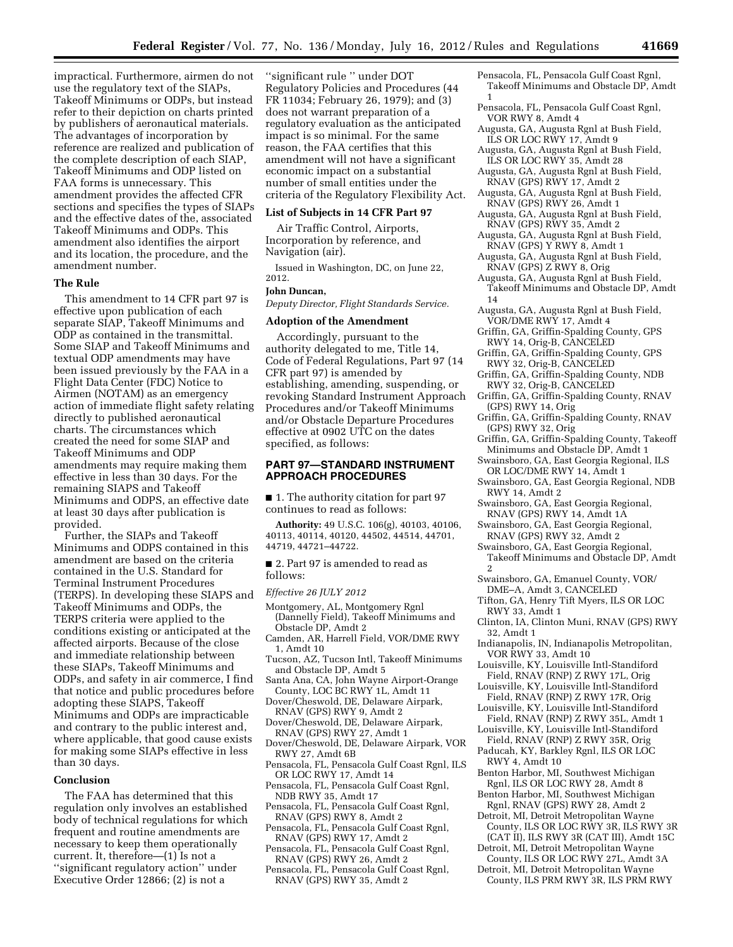impractical. Furthermore, airmen do not use the regulatory text of the SIAPs, Takeoff Minimums or ODPs, but instead refer to their depiction on charts printed by publishers of aeronautical materials. The advantages of incorporation by reference are realized and publication of the complete description of each SIAP, Takeoff Minimums and ODP listed on FAA forms is unnecessary. This amendment provides the affected CFR sections and specifies the types of SIAPs and the effective dates of the, associated Takeoff Minimums and ODPs. This amendment also identifies the airport and its location, the procedure, and the amendment number.

#### **The Rule**

This amendment to 14 CFR part 97 is effective upon publication of each separate SIAP, Takeoff Minimums and ODP as contained in the transmittal. Some SIAP and Takeoff Minimums and textual ODP amendments may have been issued previously by the FAA in a Flight Data Center (FDC) Notice to Airmen (NOTAM) as an emergency action of immediate flight safety relating directly to published aeronautical charts. The circumstances which created the need for some SIAP and Takeoff Minimums and ODP amendments may require making them effective in less than 30 days. For the remaining SIAPS and Takeoff Minimums and ODPS, an effective date at least 30 days after publication is provided.

Further, the SIAPs and Takeoff Minimums and ODPS contained in this amendment are based on the criteria contained in the U.S. Standard for Terminal Instrument Procedures (TERPS). In developing these SIAPS and Takeoff Minimums and ODPs, the TERPS criteria were applied to the conditions existing or anticipated at the affected airports. Because of the close and immediate relationship between these SIAPs, Takeoff Minimums and ODPs, and safety in air commerce, I find that notice and public procedures before adopting these SIAPS, Takeoff Minimums and ODPs are impracticable and contrary to the public interest and, where applicable, that good cause exists for making some SIAPs effective in less than 30 days.

## **Conclusion**

The FAA has determined that this regulation only involves an established body of technical regulations for which frequent and routine amendments are necessary to keep them operationally current. It, therefore—(1) Is not a ''significant regulatory action'' under Executive Order 12866; (2) is not a

''significant rule '' under DOT Regulatory Policies and Procedures (44 FR 11034; February 26, 1979); and (3) does not warrant preparation of a regulatory evaluation as the anticipated impact is so minimal. For the same reason, the FAA certifies that this amendment will not have a significant economic impact on a substantial number of small entities under the criteria of the Regulatory Flexibility Act.

#### **List of Subjects in 14 CFR Part 97**

Air Traffic Control, Airports, Incorporation by reference, and Navigation (air).

Issued in Washington, DC, on June 22, 2012.

## **John Duncan,**

*Deputy Director, Flight Standards Service.* 

## **Adoption of the Amendment**

Accordingly, pursuant to the authority delegated to me, Title 14, Code of Federal Regulations, Part 97 (14 CFR part 97) is amended by establishing, amending, suspending, or revoking Standard Instrument Approach Procedures and/or Takeoff Minimums and/or Obstacle Departure Procedures effective at 0902 UTC on the dates specified, as follows:

# **PART 97—STANDARD INSTRUMENT APPROACH PROCEDURES**

■ 1. The authority citation for part 97 continues to read as follows:

**Authority:** 49 U.S.C. 106(g), 40103, 40106, 40113, 40114, 40120, 44502, 44514, 44701, 44719, 44721–44722.

■ 2. Part 97 is amended to read as follows:

# *Effective 26 JULY 2012*

- Montgomery, AL, Montgomery Rgnl (Dannelly Field), Takeoff Minimums and Obstacle DP, Amdt 2
- Camden, AR, Harrell Field, VOR/DME RWY 1, Amdt 10
- Tucson, AZ, Tucson Intl, Takeoff Minimums and Obstacle DP, Amdt 5
- Santa Ana, CA, John Wayne Airport-Orange County, LOC BC RWY 1L, Amdt 11
- Dover/Cheswold, DE, Delaware Airpark, RNAV (GPS) RWY 9, Amdt 2
- Dover/Cheswold, DE, Delaware Airpark, RNAV (GPS) RWY 27, Amdt 1
- Dover/Cheswold, DE, Delaware Airpark, VOR RWY 27, Amdt 6B
- Pensacola, FL, Pensacola Gulf Coast Rgnl, ILS OR LOC RWY 17, Amdt 14
- Pensacola, FL, Pensacola Gulf Coast Rgnl, NDB RWY 35, Amdt 17
- Pensacola, FL, Pensacola Gulf Coast Rgnl, RNAV (GPS) RWY 8, Amdt 2
- Pensacola, FL, Pensacola Gulf Coast Rgnl, RNAV (GPS) RWY 17, Amdt 2
- Pensacola, FL, Pensacola Gulf Coast Rgnl, RNAV (GPS) RWY 26, Amdt 2
- Pensacola, FL, Pensacola Gulf Coast Rgnl, RNAV (GPS) RWY 35, Amdt 2
- Pensacola, FL, Pensacola Gulf Coast Rgnl, Takeoff Minimums and Obstacle DP, Amdt 1
- Pensacola, FL, Pensacola Gulf Coast Rgnl, VOR RWY 8, Amdt 4
- Augusta, GA, Augusta Rgnl at Bush Field, ILS OR LOC RWY 17, Amdt 9
- Augusta, GA, Augusta Rgnl at Bush Field, ILS OR LOC RWY 35, Amdt 28
- Augusta, GA, Augusta Rgnl at Bush Field, RNAV (GPS) RWY 17, Amdt 2
- Augusta, GA, Augusta Rgnl at Bush Field, RNAV (GPS) RWY 26, Amdt 1
- Augusta, GA, Augusta Rgnl at Bush Field, RNAV (GPS) RWY 35, Amdt 2
- Augusta, GA, Augusta Rgnl at Bush Field, RNAV (GPS) Y RWY 8, Amdt 1
- Augusta, GA, Augusta Rgnl at Bush Field, RNAV (GPS) Z RWY 8, Orig
- Augusta, GA, Augusta Rgnl at Bush Field, Takeoff Minimums and Obstacle DP, Amdt 14
- Augusta, GA, Augusta Rgnl at Bush Field, VOR/DME RWY 17, Amdt 4
- Griffin, GA, Griffin-Spalding County, GPS RWY 14, Orig-B, CANCELED
- Griffin, GA, Griffin-Spalding County, GPS RWY 32, Orig-B, CANCELED
- Griffin, GA, Griffin-Spalding County, NDB RWY 32, Orig-B, CANCELED
- Griffin, GA, Griffin-Spalding County, RNAV (GPS) RWY 14, Orig
- Griffin, GA, Griffin-Spalding County, RNAV (GPS) RWY 32, Orig
- Griffin, GA, Griffin-Spalding County, Takeoff Minimums and Obstacle DP, Amdt 1
- Swainsboro, GA, East Georgia Regional, ILS OR LOC/DME RWY 14, Amdt 1
- Swainsboro, GA, East Georgia Regional, NDB RWY 14, Amdt 2
- Swainsboro, GA, East Georgia Regional, RNAV (GPS) RWY 14, Amdt 1A
- Swainsboro, GA, East Georgia Regional, RNAV (GPS) RWY 32, Amdt 2
- Swainsboro, GA, East Georgia Regional, Takeoff Minimums and Obstacle DP, Amdt 2
- Swainsboro, GA, Emanuel County, VOR/ DME–A, Amdt 3, CANCELED
- Tifton, GA, Henry Tift Myers, ILS OR LOC RWY 33, Amdt 1
- Clinton, IA, Clinton Muni, RNAV (GPS) RWY 32, Amdt 1
- Indianapolis, IN, Indianapolis Metropolitan, VOR RWY 33, Amdt 10
- Louisville, KY, Louisville Intl-Standiford Field, RNAV (RNP) Z RWY 17L, Orig
- Louisville, KY, Louisville Intl-Standiford Field, RNAV (RNP) Z RWY 17R, Orig
- Louisville, KY, Louisville Intl-Standiford Field, RNAV (RNP) Z RWY 35L, Amdt 1
- Louisville, KY, Louisville Intl-Standiford
- Field, RNAV (RNP) Z RWY 35R, Orig Paducah, KY, Barkley Rgnl, ILS OR LOC RWY 4, Amdt 10
- Benton Harbor, MI, Southwest Michigan
- Rgnl, ILS OR LOC RWY 28, Amdt 8 Benton Harbor, MI, Southwest Michigan
- Rgnl, RNAV (GPS) RWY 28, Amdt 2 Detroit, MI, Detroit Metropolitan Wayne
- County, ILS OR LOC RWY 3R, ILS RWY 3R (CAT II), ILS RWY 3R (CAT III), Amdt 15C
- Detroit, MI, Detroit Metropolitan Wayne County, ILS OR LOC RWY 27L, Amdt 3A
- Detroit, MI, Detroit Metropolitan Wayne County, ILS PRM RWY 3R, ILS PRM RWY